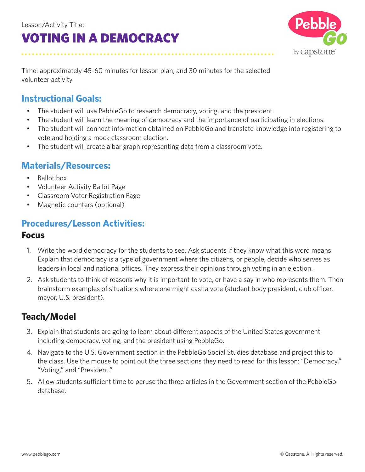

Time: approximately 45-60 minutes for lesson plan, and 30 minutes for the selected volunteer activity

### **Instructional Goals:**

- The student will use PebbleGo to research democracy, voting, and the president.
- The student will learn the meaning of democracy and the importance of participating in elections.
- The student will connect information obtained on PebbleGo and translate knowledge into registering to vote and holding a mock classroom election.
- The student will create a bar graph representing data from a classroom vote.

#### **Materials/Resources:**

- Ballot box
- Volunteer Activity Ballot Page
- Classroom Voter Registration Page
- Magnetic counters (optional)

#### **Procedures/Lesson Activities:**

#### **Focus**

- 1. Write the word democracy for the students to see. Ask students if they know what this word means. Explain that democracy is a type of government where the citizens, or people, decide who serves as leaders in local and national offices. They express their opinions through voting in an election.
- 2. Ask students to think of reasons why it is important to vote, or have a say in who represents them. Then brainstorm examples of situations where one might cast a vote (student body president, club officer, mayor, U.S. president).

### **Teach/Model**

- 3. Explain that students are going to learn about different aspects of the United States government including democracy, voting, and the president using PebbleGo.
- 4. Navigate to the U.S. Government section in the PebbleGo Social Studies database and project this to the class. Use the mouse to point out the three sections they need to read for this lesson: "Democracy," "Voting," and "President."
- 5. Allow students sufficient time to peruse the three articles in the Government section of the PebbleGo database.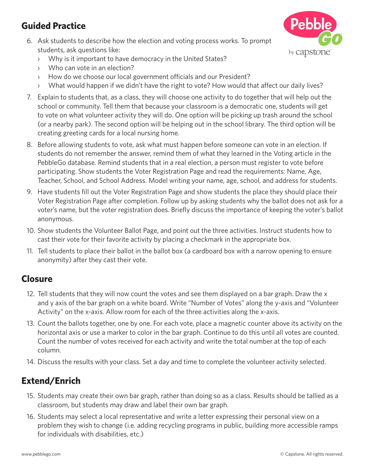### **Guided Practice**

6. Ask students to describe how the election and voting process works. To prompt students, ask questions like:



- › Why is it important to have democracy in the United States?
- › Who can vote in an election?
- › How do we choose our local government officials and our President?
- › What would happen if we didn't have the right to vote? How would that affect our daily lives?
- 7. Explain to students that, as a class, they will choose one activity to do together that will help out the school or community. Tell them that because your classroom is a democratic one, students will get to vote on what volunteer activity they will do. One option will be picking up trash around the school (or a nearby park). The second option will be helping out in the school library. The third option will be creating greeting cards for a local nursing home.
- 8. Before allowing students to vote, ask what must happen before someone can vote in an election. If students do not remember the answer, remind them of what they learned in the Voting article in the PebbleGo database. Remind students that in a real election, a person must register to vote before participating. Show students the Voter Registration Page and read the requirements: Name, Age, Teacher, School, and School Address. Model writing your name, age, school, and address for students.
- 9. Have students fill out the Voter Registration Page and show students the place they should place their Voter Registration Page after completion. Follow up by asking students why the ballot does not ask for a voter's name, but the voter registration does. Briefly discuss the importance of keeping the voter's ballot anonymous.
- 10. Show students the Volunteer Ballot Page, and point out the three activities. Instruct students how to cast their vote for their favorite activity by placing a checkmark in the appropriate box.
- 11. Tell students to place their ballot in the ballot box (a cardboard box with a narrow opening to ensure anonymity) after they cast their vote.

#### **Closure**

- 12. Tell students that they will now count the votes and see them displayed on a bar graph. Draw the x and y axis of the bar graph on a white board. Write "Number of Votes" along the y-axis and "Volunteer Activity" on the x-axis. Allow room for each of the three activities along the x-axis.
- 13. Count the ballots together, one by one. For each vote, place a magnetic counter above its activity on the horizontal axis or use a marker to color in the bar graph. Continue to do this until all votes are counted. Count the number of votes received for each activity and write the total number at the top of each column.
- 14. Discuss the results with your class. Set a day and time to complete the volunteer activity selected.

## **Extend/Enrich**

- 15. Students may create their own bar graph, rather than doing so as a class. Results should be tallied as a classroom, but students may draw and label their own bar graph.
- 16. Students may select a local representative and write a letter expressing their personal view on a problem they wish to change (i.e. adding recycling programs in public, building more accessible ramps for individuals with disabilities, etc.)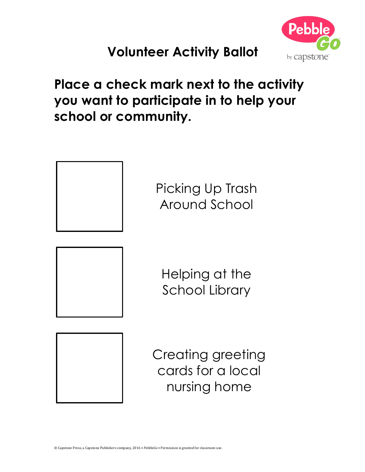

# **Volunteer Activity Ballot**

**Place a check mark next to the activity you want to participate in to help your school or community.** 



Creating greeting cards for a local nursing home